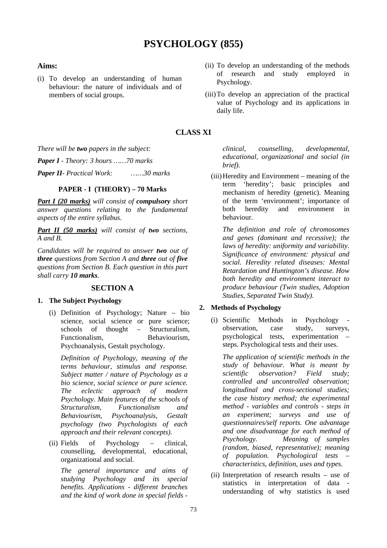# **PSYCHOLOGY (855)**

### **Aims:**

- (i) To develop an understanding of human behaviour: the nature of individuals and of members of social groups.
- (ii) To develop an understanding of the methods of research and study employed in Psychology.
- (iii)To develop an appreciation of the practical value of Psychology and its applications in daily life.

# **CLASS XI**

*There will be two papers in the subject:*

*Paper I - Theory: 3 hours ……70 marks*

*Paper II- Practical Work: ……30 marks*

### **PAPER - I (THEORY) – 70 Marks**

*Part I (20 marks) will consist of compulsory short answer questions relating to the fundamental aspects of the entire syllabus.*

*Part II (50 marks) will consist of two sections, A and B.* 

*Candidates will be required to answer two out of three questions from Section A and three out of five questions from Section B. Each question in this part shall carry 10 marks.*

### **SECTION A**

### **1. The Subject Psychology**

(i) Definition of Psychology; Nature – bio science, social science or pure science; schools of thought – Structuralism, Functionalism, Behaviourism, Psychoanalysis, Gestalt psychology.

*Definition of Psychology, meaning of the terms behaviour, stimulus and response. Subject matter / nature of Psychology as a bio science, social science or pure science. The eclectic approach of modern Psychology. Main features of the schools of Structuralism, Functionalism and Behaviourism, Psychoanalysis, Gestalt psychology (two Psychologists of each approach and their relevant concepts).*

(ii) Fields of Psychology – clinical, counselling, developmental, educational, organizational and social.

*The general importance and aims of studying Psychology and its special benefits. Applications - different branches and the kind of work done in special fields -*

*clinical, counselling, developmental, educational, organizational and social (in brief).*

(iii)Heredity and Environment – meaning of the term 'heredity'; basic principles and mechanism of heredity (genetic). Meaning of the term 'environment'; importance of both heredity and environment in behaviour.

*The definition and role of chromosomes and genes (dominant and recessive); the laws of heredity: uniformity and variability. Significance of environment: physical and social. Heredity related diseases: Mental Retardation and Huntington's disease. How both heredity and environment interact to produce behaviour (Twin studies, Adoption Studies, Separated Twin Study).*

### **2. Methods of Psychology**

(i) Scientific Methods in Psychology observation, case study, surveys, psychological tests, experimentation – steps. Psychological tests and their uses.

*The application of scientific methods in the study of behaviour. What is meant by scientific observation? Field study; controlled and uncontrolled observation; longitudinal and cross-sectional studies; the case history method; the experimental method - variables and controls - steps in an experiment; surveys and use of questionnaires/self reports. One advantage and one disadvantage for each method of Psychology. Meaning of samples (random, biased, representative); meaning of population. Psychological tests – characteristics, definition, uses and types.*

(ii) Interpretation of research results – use of statistics in interpretation of data understanding of why statistics is used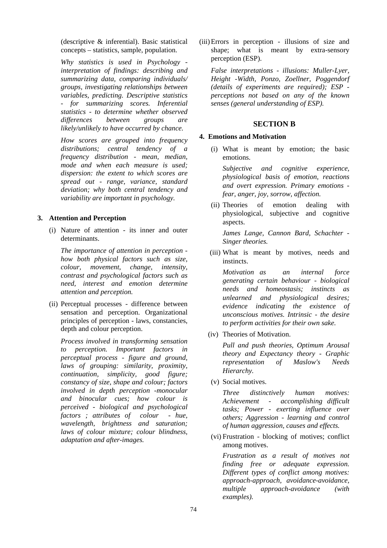(descriptive & inferential). Basic statistical concepts – statistics, sample, population.

*Why statistics is used in Psychology interpretation of findings: describing and summarizing data, comparing individuals/ groups, investigating relationships between variables, predicting. Descriptive statistics - for summarizing scores. Inferential statistics - to determine whether observed differences between groups are likely/unlikely to have occurred by chance.*

*How scores are grouped into frequency distributions; central tendency of a frequency distribution - mean, median, mode and when each measure is used; dispersion: the extent to which scores are spread out - range, variance, standard deviation; why both central tendency and variability are important in psychology.*

#### **3. Attention and Perception**

(i) Nature of attention - its inner and outer determinants.

*The importance of attention in perception how both physical factors such as size, colour, movement, change, intensity, contrast and psychological factors such as need, interest and emotion determine attention and perception.*

(ii) Perceptual processes - difference between sensation and perception. Organizational principles of perception - laws, constancies, depth and colour perception.

*Process involved in transforming sensation to perception. Important factors in perceptual process - figure and ground, laws of grouping: similarity, proximity, continuation, simplicity, good figure; constancy of size, shape and colour; factors involved in depth perception -monocular and binocular cues; how colour is perceived - biological and psychological factors ; attributes of colour - hue, wavelength, brightness and saturation; laws of colour mixture; colour blindness, adaptation and after-images.*

(iii)Errors in perception - illusions of size and shape; what is meant by extra-sensory perception (ESP).

*False interpretations - illusions: Muller-Lyer, Height -Width, Ponzo, Zoellner, Poggendorf (details of experiments are required); ESP perceptions not based on any of the known senses (general understanding of ESP).* 

#### **SECTION B**

#### **4. Emotions and Motivation**

(i) What is meant by emotion; the basic emotions.

*Subjective and cognitive experience, physiological basis of emotion, reactions and overt expression. Primary emotions fear, anger, joy, sorrow, affection.*

(ii) Theories of emotion dealing with physiological, subjective and cognitive aspects.

*James Lange, Cannon Bard, Schachter - Singer theories.*

(iii) What is meant by motives, needs and instincts.

*Motivation as an internal force generating certain behaviour - biological needs and homeostasis; instincts as unlearned and physiological desires; evidence indicating the existence of unconscious motives. Intrinsic - the desire to perform activities for their own sake.*

(iv) Theories of Motivation.

*Pull and push theories, Optimum Arousal theory and Expectancy theory - Graphic representation of Maslow's Needs Hierarchy.*

(v) Social motives.

*Three distinctively human motives: Achievement - accomplishing difficult tasks; Power - exerting influence over others; Aggression - learning and control of human aggression, causes and effects.*

(vi) Frustration - blocking of motives; conflict among motives.

*Frustration as a result of motives not finding free or adequate expression. Different types of conflict among motives: approach-approach, avoidance-avoidance, multiple approach-avoidance (with examples).*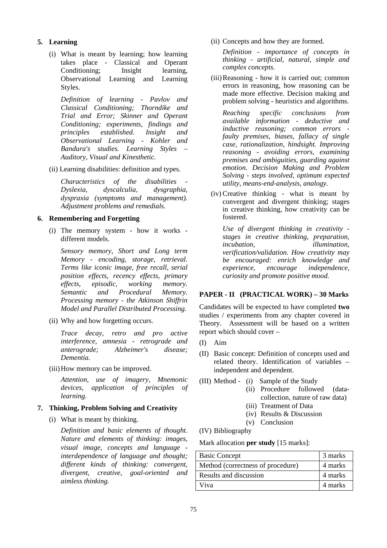### **5. Learning**

(i) What is meant by learning; how learning takes place - Classical and Operant Conditioning; Insight learning, Observational Learning and Learning Styles.

*Definition of learning - Pavlov and Classical Conditioning; Thorndike and Trial and Error; Skinner and Operant Conditioning; experiments, findings and principles established. Insight and Observational Learning - Kohler and Bandura's studies. Learning Styles – Auditory, Visual and Kinesthetic.*

(ii) Learning disabilities: definition and types.

*Characteristics of the disabilities - Dyslexia, dyscalculia, dysgraphia, dyspraxia (symptoms and management). Adjustment problems and remedials.*

### **6. Remembering and Forgetting**

(i) The memory system - how it works different models.

*Sensory memory, Short and Long term Memory - encoding, storage, retrieval. Terms like iconic image, free recall, serial position effects, recency effects, primary effects, episodic, working memory. Semantic and Procedural Memory. Processing memory - the Atkinson Shiffrin Model and Parallel Distributed Processing.* 

(ii) Why and how forgetting occurs.

*Trace decay, retro and pro active interference, amnesia - retrograde and anterograde; Alzheimer's disease; Dementia.*

(iii)How memory can be improved.

*Attention, use of imagery, Mnemonic devices, application of principles of learning.*

### **7. Thinking, Problem Solving and Creativity**

(i) What is meant by thinking.

*Definition and basic elements of thought. Nature and elements of thinking: images, visual image, concepts and language interdependence of language and thought; different kinds of thinking: convergent, divergent, creative, goal-oriented and aimless thinking.* 

(ii) Concepts and how they are formed.

*Definition - importance of concepts in thinking - artificial, natural, simple and complex concepts.*

(iii)Reasoning - how it is carried out; common errors in reasoning, how reasoning can be made more effective. Decision making and problem solving - heuristics and algorithms.

*Reaching specific conclusions from available information - deductive and inductive reasoning; common errors faulty premises, biases, fallacy of single case, rationalization, hindsight. Improving reasoning - avoiding errors, examining premises and ambiguities, guarding against emotion. Decision Making and Problem Solving - steps involved, optimum expected utility, means-end-analysis, analogy.*

(iv) Creative thinking - what is meant by convergent and divergent thinking; stages in creative thinking, how creativity can be fostered.

*Use of divergent thinking in creativity stages in creative thinking, preparation, incubation, illumination, verification/validation. How creativity may be encouraged: enrich knowledge and experience, encourage independence, curiosity and promote positive mood.*

### **PAPER - II (PRACTICAL WORK) – 30 Marks**

Candidates will be expected to have completed **two** studies / experiments from any chapter covered in Theory. Assessment will be based on a written report which should cover –

- (I) Aim
- (II) Basic concept: Definition of concepts used and related theory. Identification of variables – independent and dependent.
- (III) Method (i) Sample of the Study
	- (ii) Procedure followed (datacollection, nature of raw data)
	- (iii) Treatment of Data
	- (iv) Results & Discussion
	- (v) Conclusion

(IV) Bibliography

Mark allocation **per study** [15 marks]:

| <b>Basic Concept</b>              | 3 marks |
|-----------------------------------|---------|
| Method (correctness of procedure) | 4 marks |
| Results and discussion            | 4 marks |
| Viva                              | 4 marks |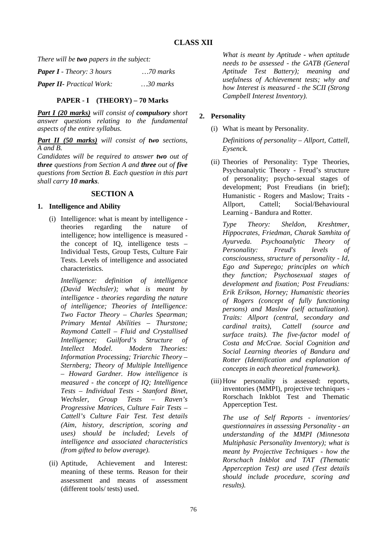*There will be two papers in the subject:*

| <b>Paper I</b> - Theory: 3 hours | $\ldots$ 70 marks |
|----------------------------------|-------------------|
| <b>Paper II-</b> Practical Work: | $30$ marks        |

### **PAPER - I (THEORY) – 70 Marks**

*Part I (20 marks) will consist of compulsory short answer questions relating to the fundamental aspects of the entire syllabus.*

*Part II (50 marks) will consist of two sections, A and B.* 

*Candidates will be required to answer two out of three questions from Section A and three out of five questions from Section B. Each question in this part shall carry 10 marks.*

# **SECTION A**

### **1. Intelligence and Ability**

(i) Intelligence: what is meant by intelligence theories regarding the nature of intelligence; how intelligence is measured the concept of IQ, intelligence tests – Individual Tests, Group Tests, Culture Fair Tests. Levels of intelligence and associated characteristics.

*Intelligence: definition of intelligence (David Wechsler); what is meant by intelligence - theories regarding the nature of intelligence; Theories of Intelligence: Two Factor Theory – Charles Spearman; Primary Mental Abilities – Thurstone; Raymond Cattell – Fluid and Crystallised Intelligence; Guilford's Structure of Intellect Model. Modern Theories: Information Processing; Triarchic Theory – Sternberg; Theory of Multiple Intelligence – Howard Gardner. How intelligence is measured - the concept of IQ; Intelligence Tests – Individual Tests - Stanford Binet, Wechsler, Group Tests – Raven's Progressive Matrices, Culture Fair Tests – Cattell's Culture Fair Test. Test details (Aim, history, description, scoring and uses) should be included; Levels of intelligence and associated characteristics (from gifted to below average).*

(ii) Aptitude, Achievement and Interest: meaning of these terms. Reason for their assessment and means of assessment (different tools/ tests) used.

*What is meant by Aptitude - when aptitude needs to be assessed - the GATB (General Aptitude Test Battery); meaning and usefulness of Achievement tests; why and how Interest is measured - the SCII (Strong Campbell Interest Inventory).* 

# **2. Personality**

(i) What is meant by Personality.

*Definitions of personality – Allport, Cattell, Eysenck.* 

(ii) Theories of Personality: Type Theories, Psychoanalytic Theory - Freud's structure of personality; psycho-sexual stages of development; Post Freudians (in brief); Humanistic - Rogers and Maslow; Traits - Allport, Cattell; Social/Behavioural Learning - Bandura and Rotter.

*Type Theory: Sheldon, Kreshtmer, Hippocrates, Friedman, Charak Samhita of Ayurveda. Psychoanalytic Theory of Personality: Freud's levels of consciousness, structure of personality - Id, Ego and Superego; principles on which they function; Psychosexual stages of development and fixation; Post Freudians: Erik Erikson, Horney; Humanistic theories of Rogers (concept of fully functioning persons) and Maslow (self actualization). Traits: Allport (central, secondary and cardinal traits), Cattell (source and surface traits). The five-factor model of Costa and McCrae. Social Cognition and Social Learning theories of Bandura and Rotter (Identification and explanation of concepts in each theoretical framework).* 

(iii)How personality is assessed: reports, inventories (MMPI), projective techniques - Rorschach Inkblot Test and Thematic Apperception Test.

*The use of Self Reports - inventories/ questionnaires in assessing Personality - an understanding of the MMPI (Minnesota Multiphasic Personality Inventory); what is meant by Projective Techniques - how the Rorschach Inkblot and TAT (Thematic Apperception Test) are used (Test details should include procedure, scoring and results).*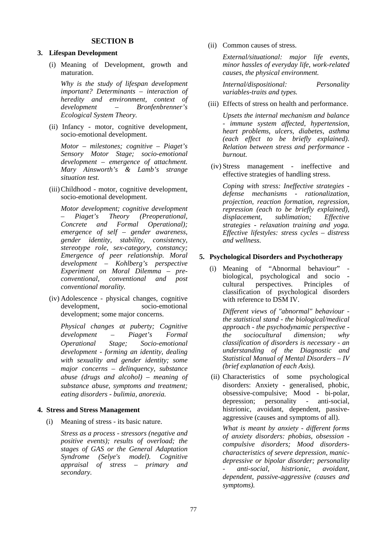### **SECTION B**

### **3. Lifespan Development**

(i) Meaning of Development, growth and maturation.

*Why is the study of lifespan development important? Determinants – interaction of heredity and environment, context of development – Bronfenbrenner's Ecological System Theory.*

(ii) Infancy - motor, cognitive development, socio-emotional development.

*Motor – milestones; cognitive – Piaget's Sensory Motor Stage; socio-emotional development – emergence of attachment. Mary Ainsworth's & Lamb's strange situation test.*

(iii)Childhood - motor, cognitive development, socio-emotional development.

*Motor development; cognitive development – Piaget's Theory (Preoperational, Concrete and Formal Operational); emergence of self – gender awareness, gender identity, stability, consistency, stereotype role, sex-category, constancy; Emergence of peer relationship. Moral development – Kohlberg's perspective Experiment on Moral Dilemma – preconventional, conventional and post conventional morality.*

(iv) Adolescence - physical changes, cognitive development, socio-emotional development; some major concerns.

*Physical changes at puberty; Cognitive development – Piaget's Formal Operational Stage; Socio-emotional development - forming an identity, dealing with sexuality and gender identity; some major concerns – delinquency, substance abuse (drugs and alcohol) – meaning of substance abuse, symptoms and treatment; eating disorders - bulimia, anorexia.*

#### **4. Stress and Stress Management**

(i) Meaning of stress - its basic nature.

*Stress as a process - stressors (negative and positive events); results of overload; the stages of GAS or the General Adaptation Syndrome (Selye's model). Cognitive appraisal of stress – primary and secondary.*

(ii) Common causes of stress.

*External/situational: major life events, minor hassles of everyday life, work-related causes, the physical environment.*

*Internal/dispositional: Personality variables-traits and types.* 

(iii) Effects of stress on health and performance.

*Upsets the internal mechanism and balance - immune system affected, hypertension, heart problems, ulcers, diabetes, asthma (each effect to be briefly explained). Relation between stress and performance burnout.*

(iv) Stress management - ineffective and effective strategies of handling stress.

*Coping with stress: Ineffective strategies defense mechanisms - rationalization, projection, reaction formation, regression, repression (each to be briefly explained), displacement, sublimation; Effective strategies - relaxation training and yoga. Effective lifestyles: stress cycles – distress and wellness.* 

#### **5. Psychological Disorders and Psychotherapy**

(i) Meaning of "Abnormal behaviour" biological, psychological and socio cultural perspectives. Principles of classification of psychological disorders with reference to DSM IV.

*Different views of "abnormal" behaviour the statistical stand - the biological/medical approach - the psychodynamic perspective the sociocultural dimension; why classification of disorders is necessary - an understanding of the Diagnostic and Statistical Manual of Mental Disorders – IV (brief explanation of each Axis).*

(ii) Characteristics of some psychological disorders: Anxiety - generalised, phobic, obsessive-compulsive; Mood - bi-polar, depression; personality - anti-social, histrionic, avoidant, dependent, passiveaggressive (causes and symptoms of all).

*What is meant by anxiety - different forms of anxiety disorders: phobias, obsession compulsive disorders; Mood disorderscharacteristics of severe depression, manicdepressive or bipolar disorder; personality - anti-social, histrionic, avoidant, dependent, passive-aggressive (causes and symptoms).*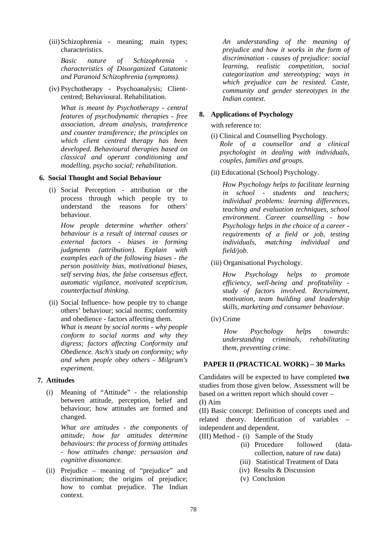(iii)Schizophrenia - meaning; main types; characteristics.

*Basic nature of Schizophrenia characteristics of Disorganized Catatonic and Paranoid Schizophrenia (symptoms).* 

(iv) Psychotherapy - Psychoanalysis; Clientcentred; Behavioural. Rehabilitation.

*What is meant by Psychotherapy - central features of psychodynamic therapies - free association, dream analysis, transference and counter transference; the principles on which client centred therapy has been developed. Behavioural therapies based on classical and operant conditioning and modelling, psycho social; rehabilitation.*

### **6. Social Thought and Social Behaviour**

(i) Social Perception - attribution or the process through which people try to understand the reasons for others' behaviour.

*How people determine whether others' behaviour is a result of internal causes or external factors - biases in forming judgments (attribution). Explain with examples each of the following biases - the person positivity bias, motivational biases, self serving bias, the false consensus effect, automatic vigilance, motivated scepticism, counterfactual thinking.*

(ii) Social Influence- how people try to change others' behaviour; social norms; conformity and obedience - factors affecting them. *What is meant by social norms - why people conform to social norms and why they digress; factors affecting Conformity and Obedience. Asch's study on conformity; why and when people obey others - Milgram's experiment.*

# **7. Attitudes**

(i) Meaning of "Attitude" - the relationship between attitude, perception, belief and behaviour; how attitudes are formed and changed.

*What are attitudes - the components of attitude; how far attitudes determine behaviours: the process of forming attitudes - how attitudes change: persuasion and cognitive dissonance.*

(ii) Prejudice – meaning of "prejudice" and discrimination; the origins of prejudice; how to combat prejudice. The Indian context.

*An understanding of the meaning of prejudice and how it works in the form of discrimination - causes of prejudice: social learning, realistic competition, social categorization and stereotyping; ways in which prejudice can be resisted. Caste, community and gender stereotypes in the Indian context.*

## **8. Applications of Psychology**

with reference to:

- (i) Clinical and Counselling Psychology. *Role of a counsellor and a clinical psychologist in dealing with individuals, couples, families and groups.*
- (ii) Educational (School) Psychology.

*How Psychology helps to facilitate learning in school - students and teachers; individual problems: learning differences, teaching and evaluation techniques, school environment. Career counselling - how Psychology helps in the choice of a career requirements of a field or job, testing individuals, matching individual and field/job.*

(iii) Organisational Psychology.

*How Psychology helps to promote efficiency, well-being and profitability study of factors involved. Recruitment, motivation, team building and leadership skills, marketing and consumer behaviour.* 

(iv) Crime

*How Psychology helps towards: understanding criminals, rehabilitating them, preventing crime.*

# **PAPER II (PRACTICAL WORK) – 30 Marks**

Candidates will be expected to have completed **two** studies from those given below. Assessment will be based on a written report which should cover –

(I) Aim

(II) Basic concept: Definition of concepts used and related theory. Identification of variables – independent and dependent.

- (III) Method (i) Sample of the Study
	- (ii) Procedure followed (datacollection, nature of raw data)
	- (iii) Statistical Treatment of Data
	- (iv) Results & Discussion
	- (v) Conclusion